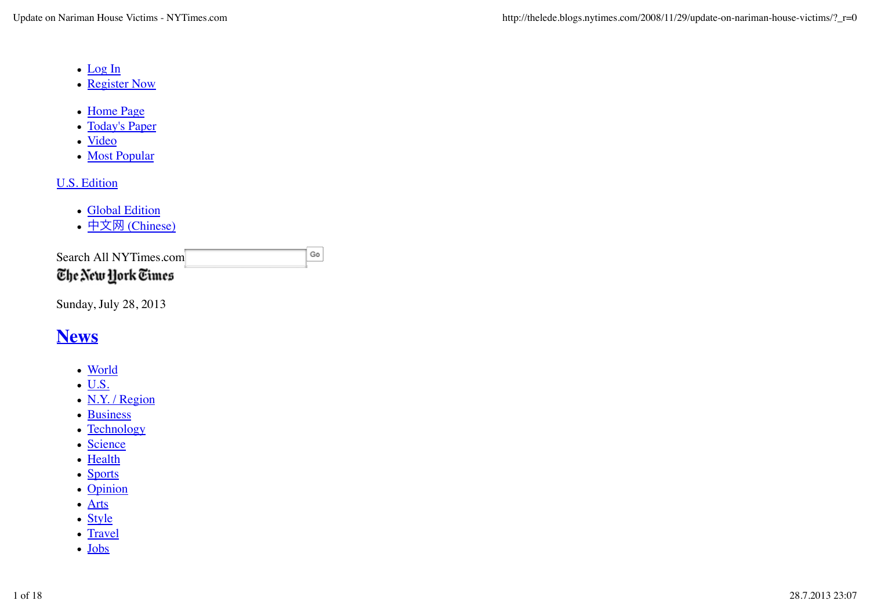- Log In
- Register Now
- Home Page
- Today's Paper
- <u>Video</u>
- Most Popular

# U.S. Edition

- Global Edition
- 中文网 (Chinese)

Search All NYTimes.com The New York Times

 $_{\rm Go}$ 

Sunday, July 28, 2013

# **News**

- World
- $\bullet$  U.S.
- N.Y. / Region
- Business
- Technology
- Science
- Health
- Sports
- Opinion
- Arts
- Style
- Travel
- Jobs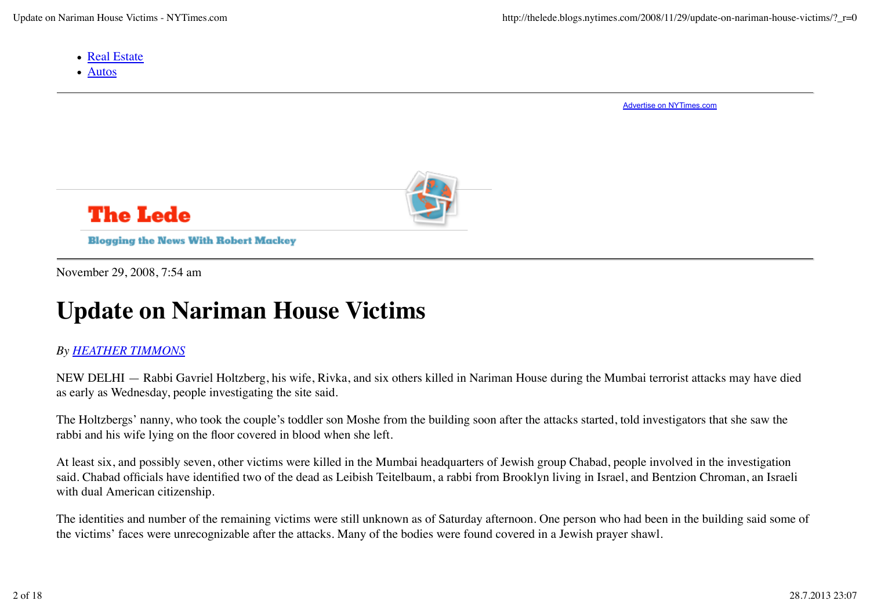- Real Estate
- Autos

Advertise on NYTimes.com



# **The Lede**

**Blogging the News With Robert Mackey** 

November 29, 2008, 7:54 am

# **Update on Nariman House Victims**

# *By HEATHER TIMMONS*

NEW DELHI — Rabbi Gavriel Holtzberg, his wife, Rivka, and six others killed in Nariman House during the Mumbai terrorist attacks may have died as early as Wednesday, people investigating the site said.

The Holtzbergs' nanny, who took the couple's toddler son Moshe from the building soon after the attacks started, told investigators that she saw the rabbi and his wife lying on the floor covered in blood when she left.

At least six, and possibly seven, other victims were killed in the Mumbai headquarters of Jewish group Chabad, people involved in the investigation said. Chabad officials have identified two of the dead as Leibish Teitelbaum, a rabbi from Brooklyn living in Israel, and Bentzion Chroman, an Israeli with dual American citizenship.

The identities and number of the remaining victims were still unknown as of Saturday afternoon. One person who had been in the building said some of the victims' faces were unrecognizable after the attacks. Many of the bodies were found covered in a Jewish prayer shawl.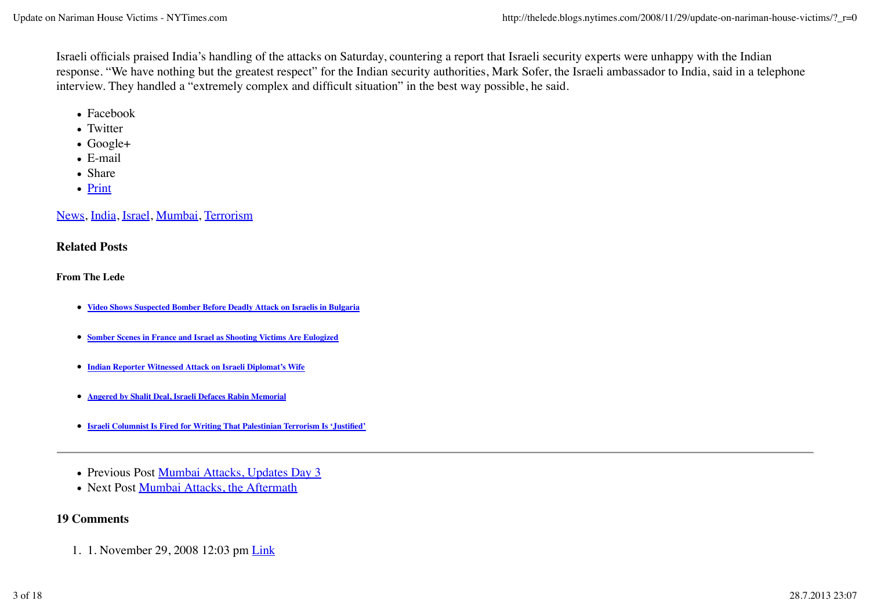Israeli officials praised India's handling of the attacks on Saturday, countering a report that Israeli security experts were unhappy with the Indian response. "We have nothing but the greatest respect" for the Indian security authorities, Mark Sofer, the Israeli ambassador to India, said in a telephone interview. They handled a "extremely complex and difficult situation" in the best way possible, he said.

- Facebook
- Twitter
- Google+
- E-mail
- Share
- Print

News, India, Israel, Mumbai, Terrorism

#### **Related Posts**

**From The Lede**

- **Video Shows Suspected Bomber Before Deadly Attack on Israelis in Bulgaria**
- **Somber Scenes in France and Israel as Shooting Victims Are Eulogized**
- **Indian Reporter Witnessed Attack on Israeli Diplomat's Wife**
- **Angered by Shalit Deal, Israeli Defaces Rabin Memorial**
- **Israeli Columnist Is Fired for Writing That Palestinian Terrorism Is 'Justified'**
- Previous Post Mumbai Attacks, Updates Day 3
- Next Post Mumbai Attacks, the Aftermath

#### **19 Comments**

1. 1. November 29, 2008 12:03 pm Link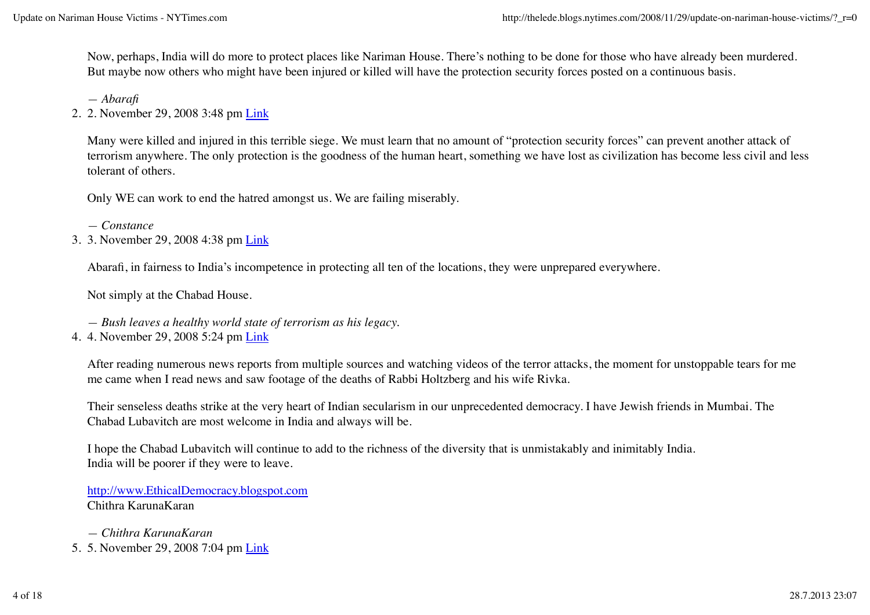Now, perhaps, India will do more to protect places like Nariman House. There's nothing to be done for those who have already been murdered. But maybe now others who might have been injured or killed will have the protection security forces posted on a continuous basis.

*— Abarafi*

2. 2. November 29, 2008 3:48 pm Link

Many were killed and injured in this terrible siege. We must learn that no amount of "protection security forces" can prevent another attack of terrorism anywhere. The only protection is the goodness of the human heart, something we have lost as civilization has become less civil and less tolerant of others.

Only WE can work to end the hatred amongst us. We are failing miserably.

- *Constance*
- 3. 3. November 29, 2008 4:38 pm <u>Link</u>

Abarafi, in fairness to India's incompetence in protecting all ten of the locations, they were unprepared everywhere.

Not simply at the Chabad House.

- *Bush leaves a healthy world state of terrorism as his legacy.*
- 4. 4. November 29, 2008 5:24 pm Link

After reading numerous news reports from multiple sources and watching videos of the terror attacks, the moment for unstoppable tears for me me came when I read news and saw footage of the deaths of Rabbi Holtzberg and his wife Rivka.

Their senseless deaths strike at the very heart of Indian secularism in our unprecedented democracy. I have Jewish friends in Mumbai. The Chabad Lubavitch are most welcome in India and always will be.

I hope the Chabad Lubavitch will continue to add to the richness of the diversity that is unmistakably and inimitably India. India will be poorer if they were to leave.

http://www.EthicalDemocracy.blogspot.com Chithra KarunaKaran

*— Chithra KarunaKaran* 5. 5. November 29, 2008 7:04 pm Link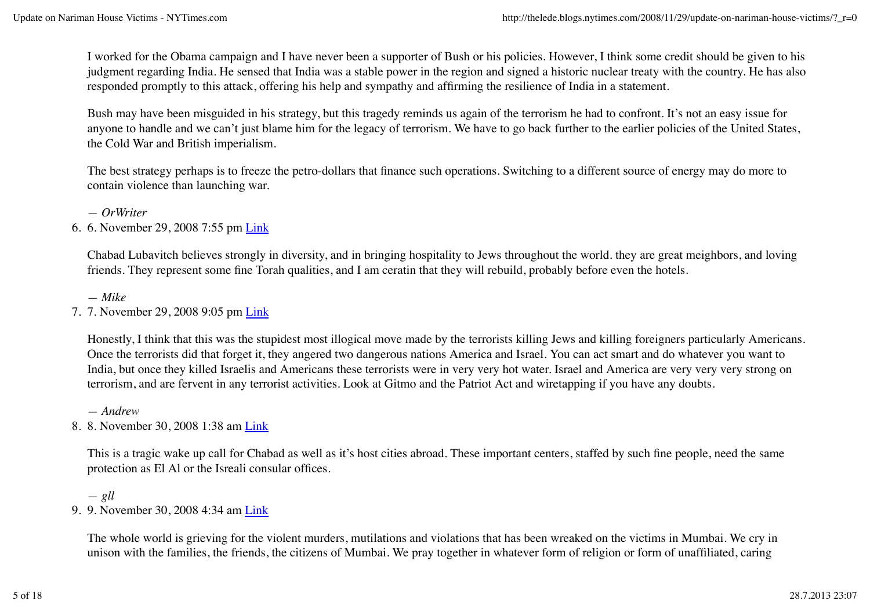I worked for the Obama campaign and I have never been a supporter of Bush or his policies. However, I think some credit should be given to his judgment regarding India. He sensed that India was a stable power in the region and signed a historic nuclear treaty with the country. He has also responded promptly to this attack, offering his help and sympathy and affirming the resilience of India in a statement.

Bush may have been misguided in his strategy, but this tragedy reminds us again of the terrorism he had to confront. It's not an easy issue for anyone to handle and we can't just blame him for the legacy of terrorism. We have to go back further to the earlier policies of the United States, the Cold War and British imperialism.

The best strategy perhaps is to freeze the petro-dollars that finance such operations. Switching to a different source of energy may do more to contain violence than launching war.

*— OrWriter*

6. 6. November 29, 2008 7:55 pm <u>Link</u>

Chabad Lubavitch believes strongly in diversity, and in bringing hospitality to Jews throughout the world. they are great meighbors, and loving friends. They represent some fine Torah qualities, and I am ceratin that they will rebuild, probably before even the hotels.

*— Mike*

7. 7. November 29, 2008 9:05 pm <u>Link</u>

Honestly, I think that this was the stupidest most illogical move made by the terrorists killing Jews and killing foreigners particularly Americans. Once the terrorists did that forget it, they angered two dangerous nations America and Israel. You can act smart and do whatever you want to India, but once they killed Israelis and Americans these terrorists were in very very hot water. Israel and America are very very very strong on terrorism, and are fervent in any terrorist activities. Look at Gitmo and the Patriot Act and wiretapping if you have any doubts.

*— Andrew*

8. 8. November 30, 2008 1:38 am <u>Link</u>

This is a tragic wake up call for Chabad as well as it's host cities abroad. These important centers, staffed by such fine people, need the same protection as El Al or the Isreali consular offices.

*— gll* 9. 9. November 30, 2008 4:34 am <u>Link</u>

The whole world is grieving for the violent murders, mutilations and violations that has been wreaked on the victims in Mumbai. We cry in unison with the families, the friends, the citizens of Mumbai. We pray together in whatever form of religion or form of unaffiliated, caring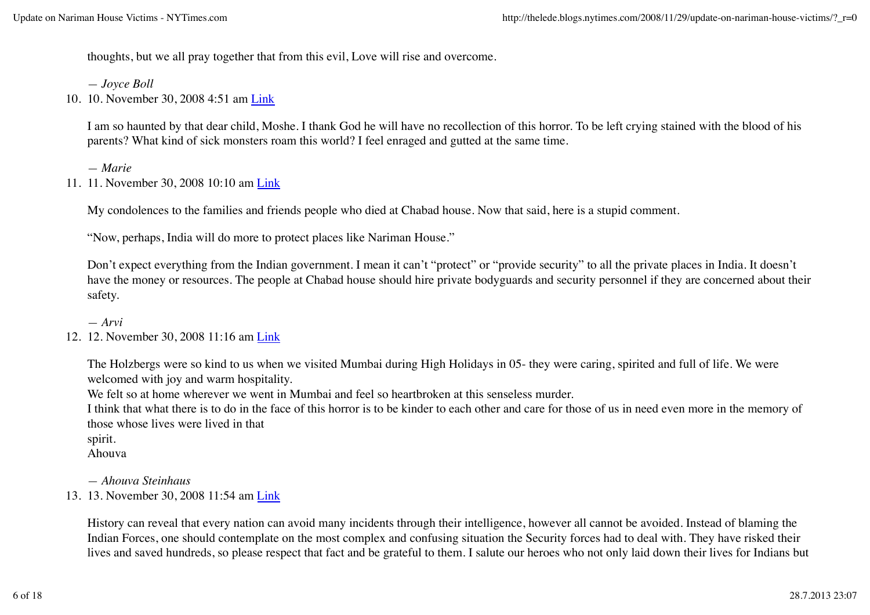thoughts, but we all pray together that from this evil, Love will rise and overcome.

*— Joyce Boll*

10. 10. November 30, 2008 4:51 am Link

I am so haunted by that dear child, Moshe. I thank God he will have no recollection of this horror. To be left crying stained with the blood of his parents? What kind of sick monsters roam this world? I feel enraged and gutted at the same time.

*— Marie*

11. 11. November 30, 2008 10:10 am Link

My condolences to the families and friends people who died at Chabad house. Now that said, here is a stupid comment.

"Now, perhaps, India will do more to protect places like Nariman House."

Don't expect everything from the Indian government. I mean it can't "protect" or "provide security" to all the private places in India. It doesn't have the money or resources. The people at Chabad house should hire private bodyguards and security personnel if they are concerned about their safety.

*— Arvi*

## 12. 12. November 30, 2008 11:16 am Link

The Holzbergs were so kind to us when we visited Mumbai during High Holidays in 05- they were caring, spirited and full of life. We were welcomed with joy and warm hospitality.

We felt so at home wherever we went in Mumbai and feel so heartbroken at this senseless murder.

I think that what there is to do in the face of this horror is to be kinder to each other and care for those of us in need even more in the memory of those whose lives were lived in that

spirit.

Ahouva

*— Ahouva Steinhaus*

13. 13. November 30, 2008 11:54 am Link

History can reveal that every nation can avoid many incidents through their intelligence, however all cannot be avoided. Instead of blaming the Indian Forces, one should contemplate on the most complex and confusing situation the Security forces had to deal with. They have risked their lives and saved hundreds, so please respect that fact and be grateful to them. I salute our heroes who not only laid down their lives for Indians but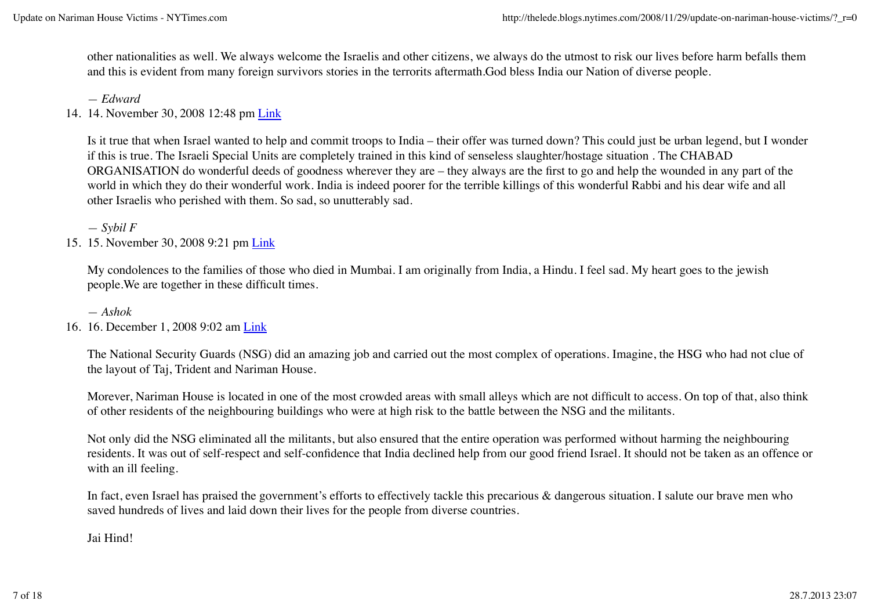other nationalities as well. We always welcome the Israelis and other citizens, we always do the utmost to risk our lives before harm befalls them and this is evident from many foreign survivors stories in the terrorits aftermath.God bless India our Nation of diverse people.

*— Edward*

14. 14. November 30, 2008 12:48 pm Link

Is it true that when Israel wanted to help and commit troops to India – their offer was turned down? This could just be urban legend, but I wonder if this is true. The Israeli Special Units are completely trained in this kind of senseless slaughter/hostage situation . The CHABAD ORGANISATION do wonderful deeds of goodness wherever they are – they always are the first to go and help the wounded in any part of the world in which they do their wonderful work. India is indeed poorer for the terrible killings of this wonderful Rabbi and his dear wife and all other Israelis who perished with them. So sad, so unutterably sad.

*— Sybil F*

15. 15. November 30, 2008 9:21 pm Link

My condolences to the families of those who died in Mumbai. I am originally from India, a Hindu. I feel sad. My heart goes to the jewish people.We are together in these difficult times.

*— Ashok*

16. 16. December 1, 2008 9:02 am Link

The National Security Guards (NSG) did an amazing job and carried out the most complex of operations. Imagine, the HSG who had not clue of the layout of Taj, Trident and Nariman House.

Morever, Nariman House is located in one of the most crowded areas with small alleys which are not difficult to access. On top of that, also think of other residents of the neighbouring buildings who were at high risk to the battle between the NSG and the militants.

Not only did the NSG eliminated all the militants, but also ensured that the entire operation was performed without harming the neighbouring residents. It was out of self-respect and self-confidence that India declined help from our good friend Israel. It should not be taken as an offence or with an ill feeling.

In fact, even Israel has praised the government's efforts to effectively tackle this precarious & dangerous situation. I salute our brave men who saved hundreds of lives and laid down their lives for the people from diverse countries.

Jai Hind!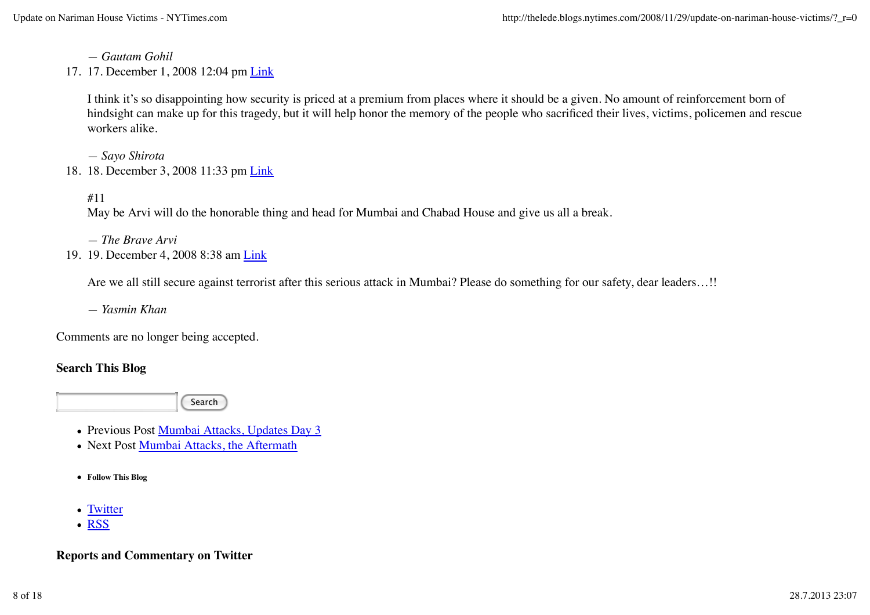*— Gautam Gohil*

17. 17. December 1, 2008 12:04 pm Link

I think it's so disappointing how security is priced at a premium from places where it should be a given. No amount of reinforcement born of hindsight can make up for this tragedy, but it will help honor the memory of the people who sacrificed their lives, victims, policemen and rescue workers alike.

*— Sayo Shirota*

18. 18. December 3, 2008 11:33 pm Link

#11

May be Arvi will do the honorable thing and head for Mumbai and Chabad House and give us all a break.

*— The Brave Arvi*

19. 19. December 4, 2008 8:38 am Link

Are we all still secure against terrorist after this serious attack in Mumbai? Please do something for our safety, dear leaders...!!

*— Yasmin Khan*

Comments are no longer being accepted.

# **Search This Blog**

Search

- Previous Post Mumbai Attacks, Updates Day 3
- Next Post Mumbai Attacks, the Aftermath
- **Follow This Blog**
- Twitter
- RSS

# **Reports and Commentary on Twitter**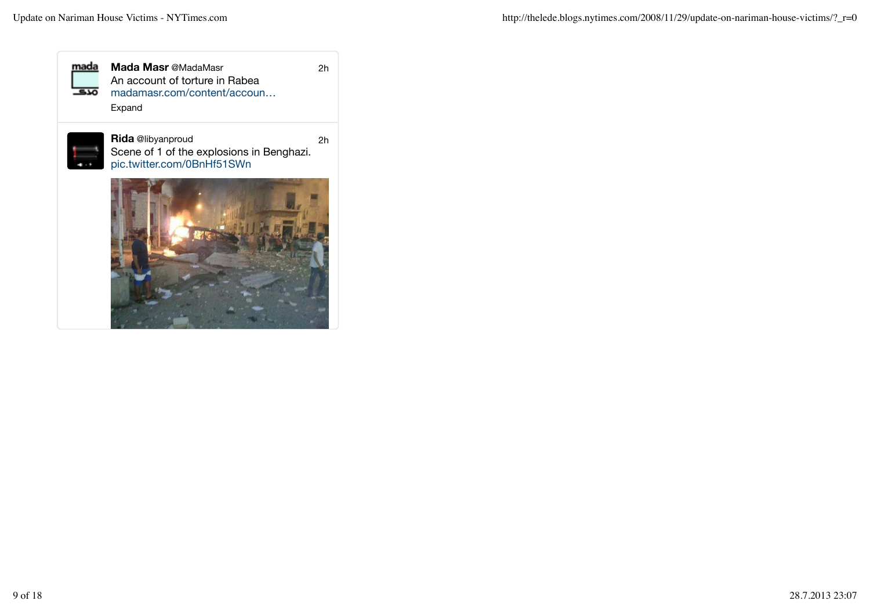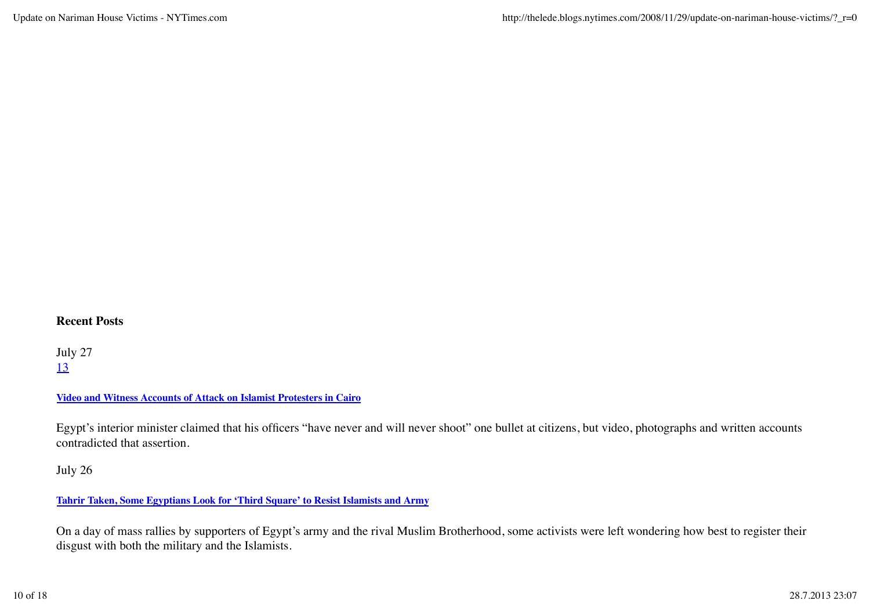#### **Recent Posts**

July 27 13

#### **Video and Witness Accounts of Attack on Islamist Protesters in Cairo**

Egypt's interior minister claimed that his officers "have never and will never shoot" one bullet at citizens, but video, photographs and written accounts contradicted that assertion.

## July 26

#### **Tahrir Taken, Some Egyptians Look for 'Third Square' to Resist Islamists and Army**

On a day of mass rallies by supporters of Egypt's army and the rival Muslim Brotherhood, some activists were left wondering how best to register their disgust with both the military and the Islamists.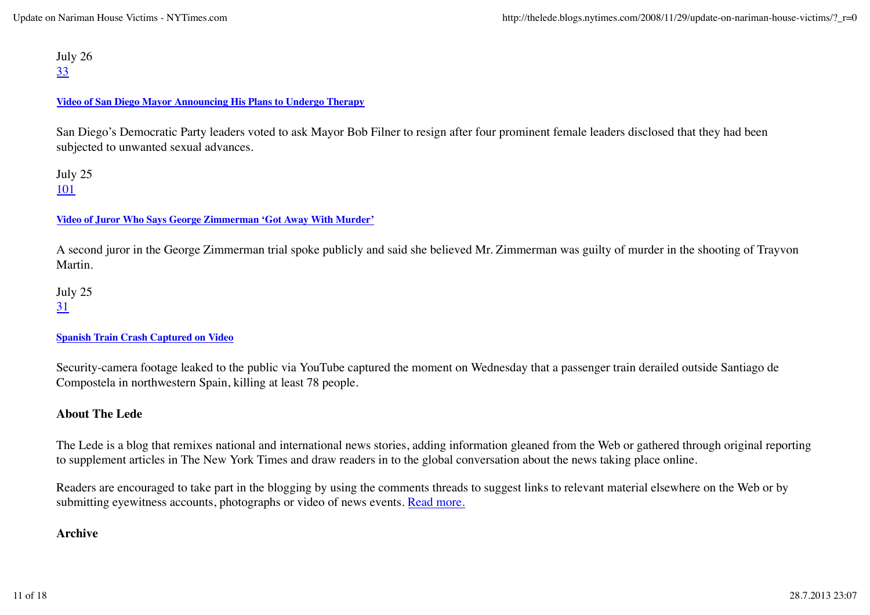July 26 33

#### **Video of San Diego Mayor Announcing His Plans to Undergo Therapy**

San Diego's Democratic Party leaders voted to ask Mayor Bob Filner to resign after four prominent female leaders disclosed that they had been subjected to unwanted sexual advances.

July 25 101

#### **Video of Juror Who Says George Zimmerman 'Got Away With Murder'**

A second juror in the George Zimmerman trial spoke publicly and said she believed Mr. Zimmerman was guilty of murder in the shooting of Trayvon Martin.

July 25 31

#### **Spanish Train Crash Captured on Video**

Security-camera footage leaked to the public via YouTube captured the moment on Wednesday that a passenger train derailed outside Santiago de Compostela in northwestern Spain, killing at least 78 people.

#### **About The Lede**

The Lede is a blog that remixes national and international news stories, adding information gleaned from the Web or gathered through original reporting to supplement articles in The New York Times and draw readers in to the global conversation about the news taking place online.

Readers are encouraged to take part in the blogging by using the comments threads to suggest links to relevant material elsewhere on the Web or by submitting eyewitness accounts, photographs or video of news events. Read more.

## **Archive**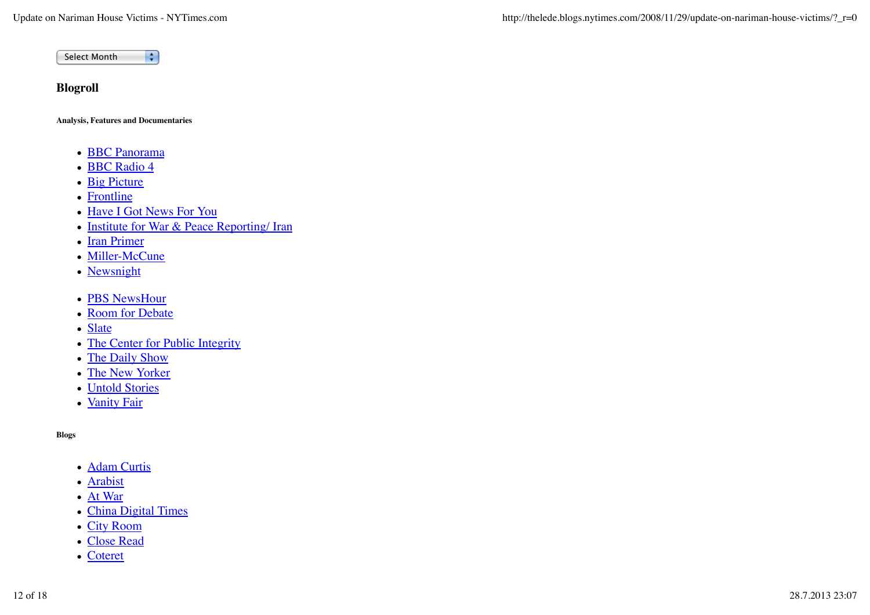$\overline{\cdot}$ Select Month

## **Blogroll**

**Analysis, Features and Documentaries**

- **BBC Panorama**
- BBC Radio 4
- Big Picture
- Frontline
- Have I Got News For You
- Institute for War & Peace Reporting/ Iran
- Iran Primer
- Miller-McCune
- Newsnight
- PBS NewsHour
- Room for Debate
- Slate
- The Center for Public Integrity
- The Daily Show
- The New Yorker
- Untold Stories
- Vanity Fair

#### **Blogs**

- Adam Curtis
- Arabist
- At War
- China Digital Times
- City Room
- Close Read
- Coteret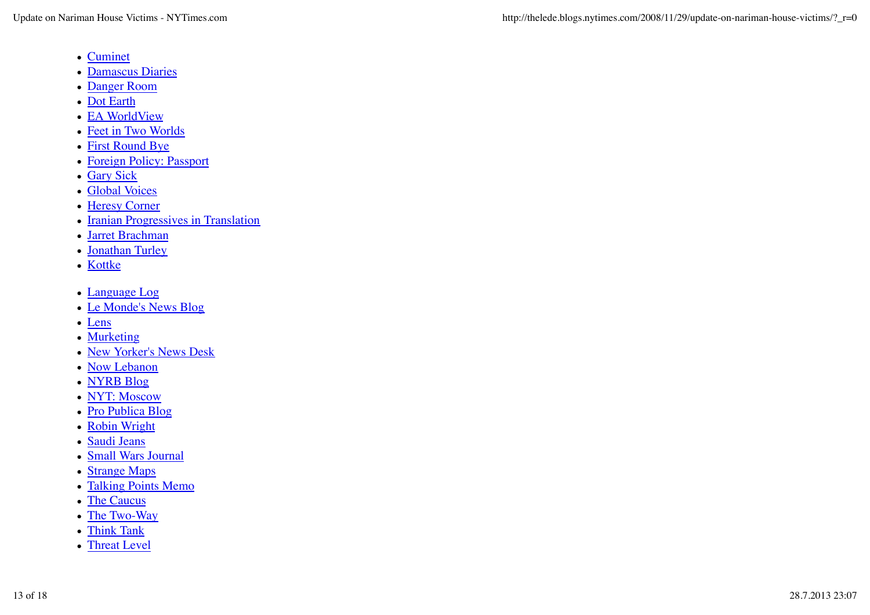- Cuminet
- Damascus Diaries
- Danger Room
- Dot Earth
- EA WorldView
- Feet in Two Worlds
- First Round Bye
- Foreign Policy: Passport
- Gary Sick
- Global Voices
- Heresy Corner
- Iranian Progressives in Translation
- Jarret Brachman
- Jonathan Turley
- Kottke
- Language Log
- Le Monde's News Blog
- Lens
- Murketing
- New Yorker's News Desk
- Now Lebanon
- NYRB Blog
- NYT: Moscow
- Pro Publica Blog
- Robin Wright
- Saudi Jeans
- Small Wars Journal
- Strange Maps
- Talking Points Memo
- The Caucus
- The Two-Way
- Think Tank
- Threat Level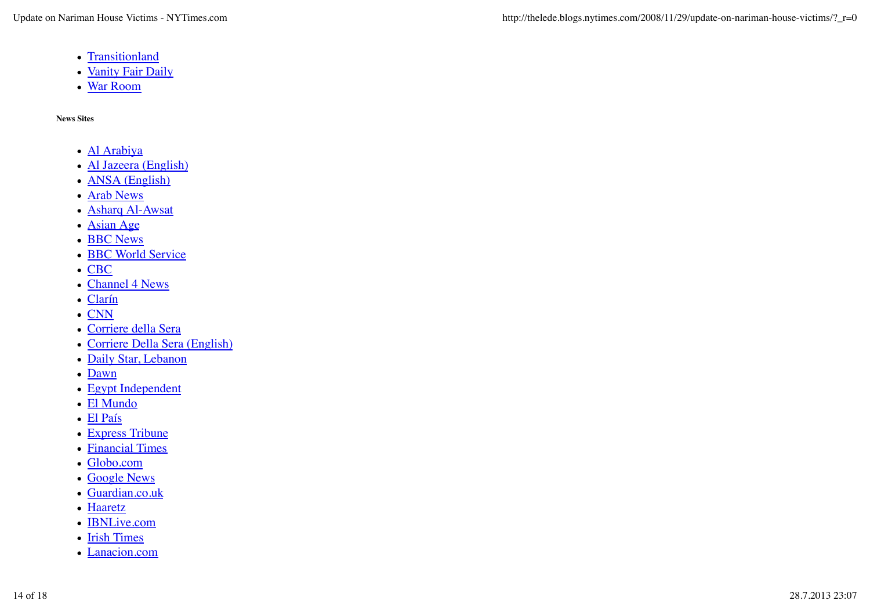- Transitionland
- Vanity Fair Daily
- War Room

**News Sites**

- Al Arabiya
- Al Jazeera (English)
- **ANSA** (English)
- Arab News
- Asharq Al-Awsat
- Asian Age
- BBC News
- **BBC World Service**
- CBC
- Channel 4 News
- Clarín
- CNN
- Corriere della Sera
- Corriere Della Sera (English)
- Daily Star, Lebanon
- Dawn
- Egypt Independent
- El Mundo
- El País
- Express Tribune
- Financial Times
- Globo.com
- Google News
- Guardian.co.uk
- Haaretz
- **IBNLive.com**
- Irish Times
- Lanacion.com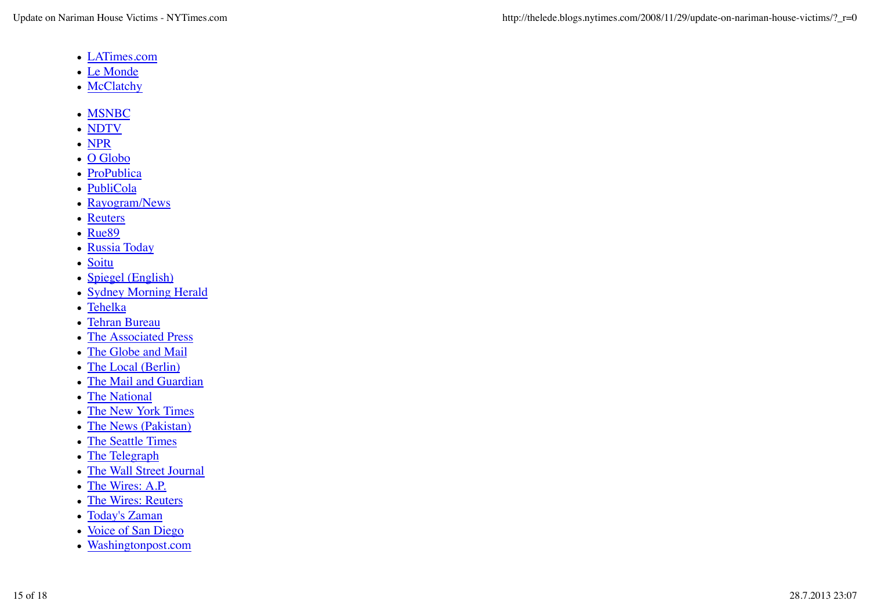- LATimes.com
- Le Monde
- McClatchy
- MSNBC
- NDTV
- NPR
- O Globo
- ProPublica
- PubliCola
- Rayogram/News
- Reuters
- Rue<sub>89</sub>
- Russia Today
- Soitu
- Spiegel (English)
- Sydney Morning Herald
- Tehelka
- Tehran Bureau
- The Associated Press
- The Globe and Mail
- The Local (Berlin)
- The Mail and Guardian
- The National
- The New York Times
- The News (Pakistan)
- The Seattle Times
- The Telegraph
- The Wall Street Journal
- The Wires: A.P.
- The Wires: Reuters
- Today's Zaman
- Voice of San Diego
- Washingtonpost.com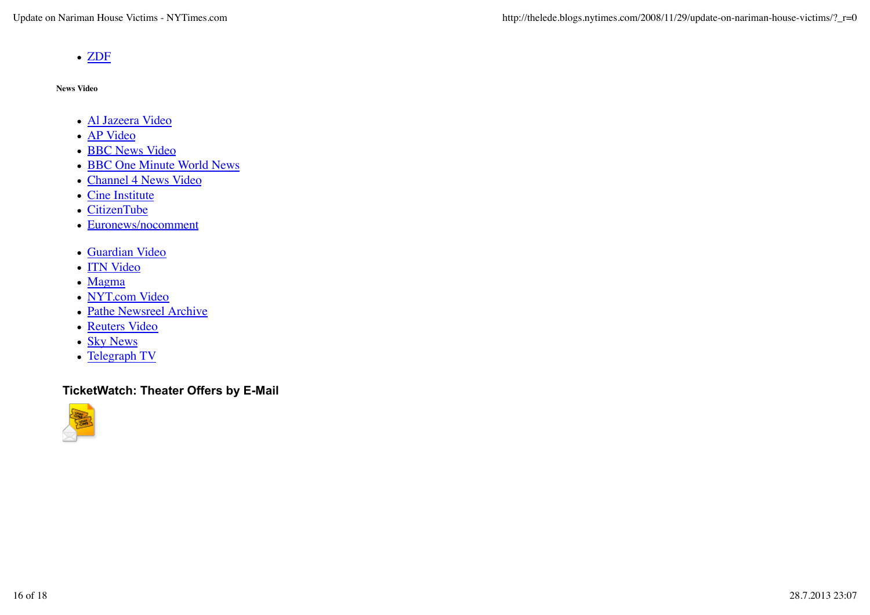• ZDF

**News Video**

- Al Jazeera Video
- AP Video
- BBC News Video
- BBC One Minute World News
- Channel 4 News Video
- Cine Institute
- CitizenTube
- Euronews/nocomment
- Guardian Video
- **ITN Video**
- Magma
- NYT.com Video
- Pathe Newsreel Archive
- Reuters Video
- Sky News
- Telegraph TV

# **TicketWatch: Theater Offers by E-Mail**

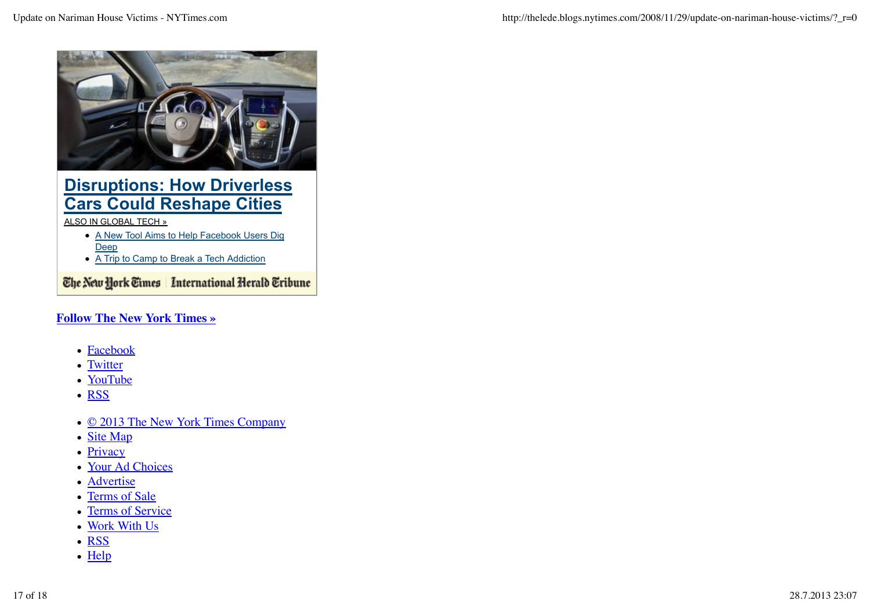

# **Disruptions: How Driverless Cars Could Reshape Cities**

#### ALSO IN GLOBAL TECH »

- A New Tool Aims to Help Facebook Users Dig Deep
- A Trip to Camp to Break a Tech Addiction

The New York Times | International Herald Tribune

# **Follow The New York Times »**

- **Facebook**
- Twitter
- YouTube
- RSS
- © 2013 The New York Times Company
- Site Map
- Privacy
- Your Ad Choices
- Advertise
- Terms of Sale
- Terms of Service
- Work With Us
- RSS
- $\bullet$  Help